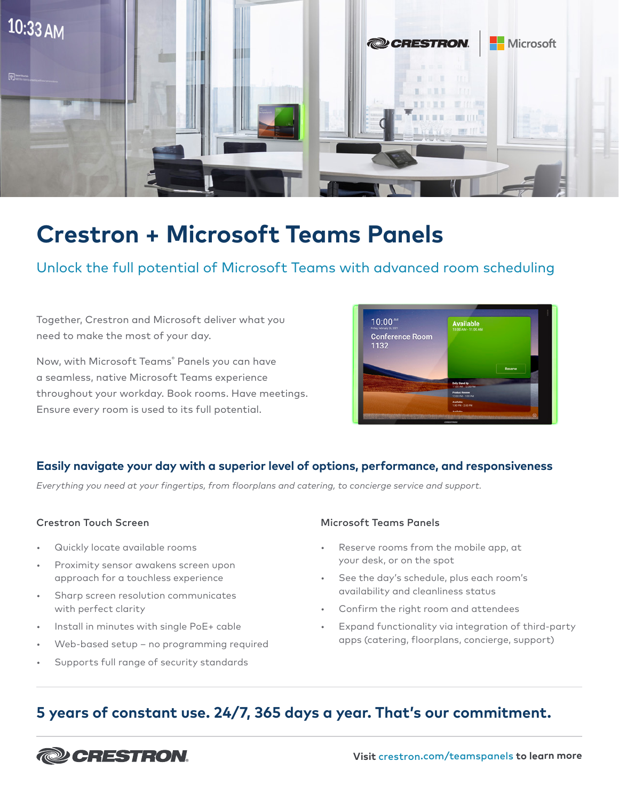

# **Crestron + Microsoft Teams Panels**

# Unlock the full potential of Microsoft Teams with advanced room scheduling

Together, Crestron and Microsoft deliver what you need to make the most of your day.

Now, with Microsoft Teams® Panels you can have a seamless, native Microsoft Teams experience throughout your workday. Book rooms. Have meetings. Ensure every room is used to its full potential.



# **Easily navigate your day with a superior level of options, performance, and responsiveness**

*Everything you need at your fingertips, from floorplans and catering, to concierge service and support.* 

- Quickly locate available rooms
- Proximity sensor awakens screen upon approach for a touchless experience
- Sharp screen resolution communicates with perfect clarity
- Install in minutes with single PoE+ cable
- Web-based setup no programming required
- Supports full range of security standards

#### Crestron Touch Screen Microsoft Teams Panels

- Reserve rooms from the mobile app, at your desk, or on the spot
- See the day's schedule, plus each room's availability and cleanliness status
- Confirm the right room and attendees
- Expand functionality via integration of third-party apps (catering, floorplans, concierge, support)

# **5 years of constant use. 24/7, 365 days a year. That's our commitment.**